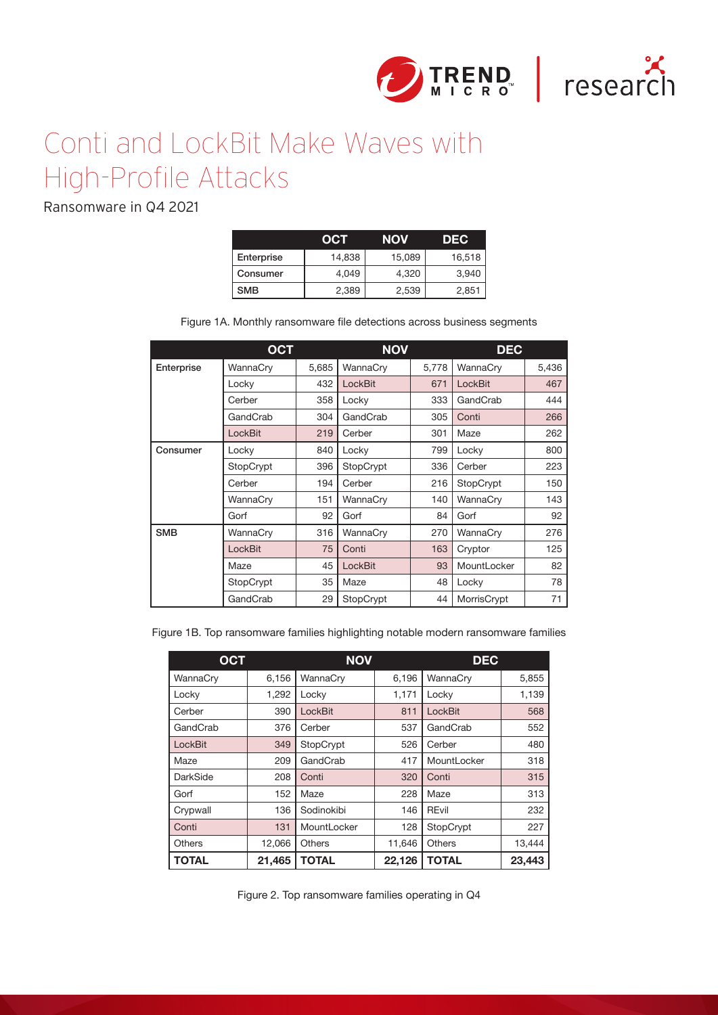



## Conti and LockBit Make Waves with High-Profile Attacks

Ransomware in Q4 2021

|            | oci    | NOV    | DEC.   |
|------------|--------|--------|--------|
| Enterprise | 14,838 | 15,089 | 16,518 |
| Consumer   | 4.049  | 4,320  | 3,940  |
| <b>SMB</b> | 2,389  | 2,539  | 2,85   |

Figure 1A. Monthly ransomware file detections across business segments

|            | <b>OCT</b> |       | <b>NOV</b> |       | <b>DEC</b>  |       |
|------------|------------|-------|------------|-------|-------------|-------|
| Enterprise | WannaCry   | 5,685 | WannaCry   | 5,778 | WannaCry    | 5,436 |
|            | Locky      | 432   | LockBit    | 671   | LockBit     | 467   |
|            | Cerber     | 358   | Locky      | 333   | GandCrab    | 444   |
|            | GandCrab   | 304   | GandCrab   | 305   | Conti       | 266   |
|            | LockBit    | 219   | Cerber     | 301   | Maze        | 262   |
| Consumer   | Locky      | 840   | Locky      | 799   | Locky       | 800   |
|            | StopCrypt  | 396   | StopCrypt  | 336   | Cerber      | 223   |
|            | Cerber     | 194   | Cerber     | 216   | StopCrypt   | 150   |
|            | WannaCry   | 151   | WannaCry   | 140   | WannaCry    | 143   |
|            | Gorf       | 92    | Gorf       | 84    | Gorf        | 92    |
| <b>SMB</b> | WannaCry   | 316   | WannaCry   | 270   | WannaCry    | 276   |
|            | LockBit    | 75    | Conti      | 163   | Cryptor     | 125   |
|            | Maze       | 45    | LockBit    | 93    | MountLocker | 82    |
|            | StopCrypt  | 35    | Maze       | 48    | Locky       | 78    |
|            | GandCrab   | 29    | StopCrypt  | 44    | MorrisCrypt | 71    |

Figure 1B. Top ransomware families highlighting notable modern ransomware families

| <b>OCT</b>   |        | <b>NOV</b>     |        | <b>DEC</b>    |        |  |
|--------------|--------|----------------|--------|---------------|--------|--|
| WannaCry     | 6,156  | WannaCry       | 6,196  | WannaCry      | 5,855  |  |
| Locky        | 1.292  | Locky          | 1.171  | Locky         | 1,139  |  |
| Cerber       | 390    | <b>LockBit</b> | 811    | LockBit       | 568    |  |
| GandCrab     | 376    | Cerber         | 537    | GandCrab      | 552    |  |
| LockBit      | 349    | StopCrypt      | 526    | Cerber        | 480    |  |
| Maze         | 209    | GandCrab       | 417    | MountLocker   | 318    |  |
| DarkSide     | 208    | Conti          | 320    | Conti         | 315    |  |
| Gorf         | 152    | Maze           | 228    | Maze          | 313    |  |
| Crypwall     | 136    | Sodinokibi     | 146    | <b>REvil</b>  | 232    |  |
| Conti        | 131    | MountLocker    | 128    | StopCrypt     | 227    |  |
| Others       | 12,066 | <b>Others</b>  | 11,646 | <b>Others</b> | 13,444 |  |
| <b>TOTAL</b> | 21,465 | <b>TOTAL</b>   | 22,126 | <b>TOTAL</b>  | 23,443 |  |

Figure 2. Top ransomware families operating in Q4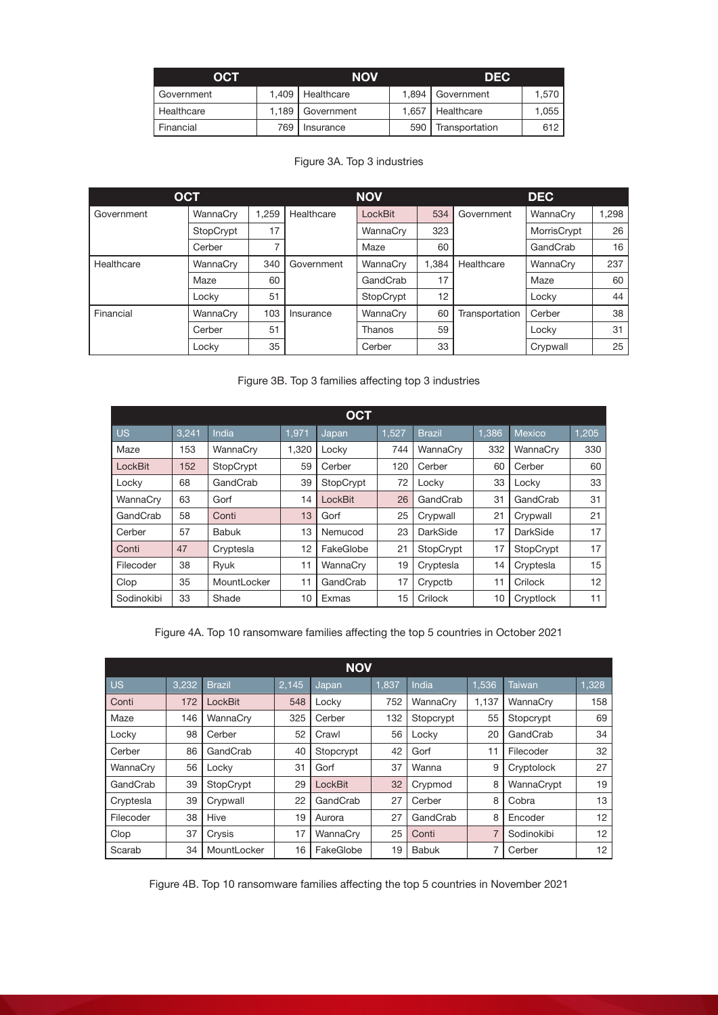| OCT        |     | <b>NOV</b>         |     | <b>DEC</b>         |       |  |
|------------|-----|--------------------|-----|--------------------|-------|--|
| Government |     | 1,409   Healthcare |     | 1,894   Government | 1.570 |  |
| Healthcare |     | 1,189   Government |     | 1,657   Healthcare | 1,055 |  |
| Financial  | 769 | Insurance          | 590 | Transportation     | 612   |  |

|            | <b>OCT</b> |       |            | <b>NOV</b>     |       | <b>DEC</b>     |             |       |  |
|------------|------------|-------|------------|----------------|-------|----------------|-------------|-------|--|
| Government | WannaCrv   | 1.259 | Healthcare | <b>LockBit</b> | 534   | Government     | WannaCrv    | 1.298 |  |
|            | StopCrypt  | 17    |            | WannaCry       | 323   |                | MorrisCrypt | 26    |  |
|            | Cerber     | 7     |            | Maze           | 60    |                | GandCrab    | 16    |  |
| Healthcare | WannaCrv   | 340   | Government | WannaCry       | 1.384 | Healthcare     | WannaCrv    | 237   |  |
|            | Maze       | 60    |            | GandCrab       | 17    |                | Maze        | 60    |  |
|            | Locky      | 51    |            | StopCrypt      | 12    |                | Locky       | 44    |  |
| Financial  | WannaCry   | 103   | Insurance  | WannaCry       | 60    | Transportation | Cerber      | 38    |  |
|            | Cerber     | 51    |            | Thanos         | 59    |                | Locky       | 31    |  |
|            | Locky      | 35    |            | Cerber         | 33    |                | Crypwall    | 25    |  |

## Figure 3B. Top 3 families affecting top 3 industries

| <b>OCT</b> |       |              |       |           |       |               |       |               |       |
|------------|-------|--------------|-------|-----------|-------|---------------|-------|---------------|-------|
| <b>US</b>  | 3,241 | India        | 1.971 | Japan     | 1.527 | <b>Brazil</b> | 1.386 | <b>Mexico</b> | 1,205 |
| Maze       | 153   | WannaCry     | 1,320 | Locky     | 744   | WannaCry      | 332   | WannaCry      | 330   |
| LockBit    | 152   | StopCrypt    | 59    | Cerber    | 120   | Cerber        | 60    | Cerber        | 60    |
| Locky      | 68    | GandCrab     | 39    | StopCrypt | 72    | Locky         | 33    | Locky         | 33    |
| WannaCry   | 63    | Gorf         | 14    | LockBit   | 26    | GandCrab      | 31    | GandCrab      | 31    |
| GandCrab   | 58    | Conti        | 13    | Gorf      | 25    | Crypwall      | 21    | Crypwall      | 21    |
| Cerber     | 57    | <b>Babuk</b> | 13    | Nemucod   | 23    | DarkSide      | 17    | DarkSide      | 17    |
| Conti      | 47    | Cryptesla    | 12    | FakeGlobe | 21    | StopCrypt     | 17    | StopCrypt     | 17    |
| Filecoder  | 38    | Ryuk         | 11    | WannaCry  | 19    | Cryptesla     | 14    | Cryptesla     | 15    |
| Clop       | 35    | MountLocker  | 11    | GandCrab  | 17    | Crypctb       | 11    | Crilock       | 12    |
| Sodinokibi | 33    | Shade        | 10    | Exmas     | 15    | Crilock       | 10    | Cryptlock     | 11    |

Figure 4A. Top 10 ransomware families affecting the top 5 countries in October 2021

| <b>NOV</b> |       |               |       |           |       |              |                |               |       |
|------------|-------|---------------|-------|-----------|-------|--------------|----------------|---------------|-------|
| l us       | 3,232 | <b>Brazil</b> | 2,145 | Japan     | 1,837 | India        | 1,536          | <b>Taiwan</b> | 1,328 |
| Conti      | 172   | LockBit       | 548   | Locky     | 752   | WannaCry     | 1,137          | WannaCry      | 158   |
| Maze       | 146   | WannaCry      | 325   | Cerber    | 132   | Stopcrypt    | 55             | Stopcrypt     | 69    |
| Locky      | 98    | Cerber        | 52    | Crawl     | 56    | Locky        | 20             | GandCrab      | 34    |
| Cerber     | 86    | GandCrab      | 40    | Stopcrypt | 42    | Gorf         | 11             | Filecoder     | 32    |
| WannaCry   | 56    | Locky         | 31    | Gorf      | 37    | Wanna        | 9              | Cryptolock    | 27    |
| GandCrab   | 39    | StopCrypt     | 29    | LockBit   | 32    | Crypmod      | 8              | WannaCrypt    | 19    |
| Cryptesla  | 39    | Crypwall      | 22    | GandCrab  | 27    | Cerber       | 8              | Cobra         | 13    |
| Filecoder  | 38    | Hive          | 19    | Aurora    | 27    | GandCrab     | 8              | Encoder       | 12    |
| Clop       | 37    | Crysis        | 17    | WannaCry  | 25    | Conti        | $\overline{7}$ | Sodinokibi    | 12    |
| Scarab     | 34    | MountLocker   | 16    | FakeGlobe | 19    | <b>Babuk</b> | 7              | Cerber        | 12    |

Figure 4B. Top 10 ransomware families affecting the top 5 countries in November 2021